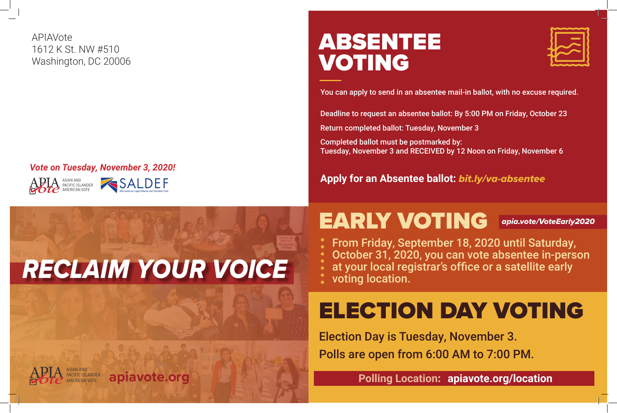



#### *Vote on Tuesday, November 3, 2020!*

APIAVote 1612 K St. NW #510 Washington, DC 20006

## EARLY VOTING *apia.vote/VoteEarly2020*

## ELECTION DAY VOTING

### **Polling Location: apiavote.org/location**

### ABSENTEE VOTING

You can apply to send in an absentee mail-in ballot, with no excuse required.

#### **Apply for an Absentee ballot:** *bit.ly/va-absentee*

Deadline to request an absentee ballot: By 5:00 PM on Friday, October 23

Return completed ballot: Tuesday, November 3

Completed ballot must be postmarked by: Tuesday, November 3 and RECEIVED by 12 Noon on Friday, November 6

From Friday, September 18, 2020 until Saturday, October 31, 2020, you can vote absentee in-person at your local registrar's office or a satellite early

- 
- 
- 
- voting location.
- 

Election Day is Tuesday, November 3. Polls are open from 6:00 AM to 7:00 PM.





# *RECLAIM YOUR VOICE*

#### ASIAN AND **PACIFIC ISLANDER apiavote.org**